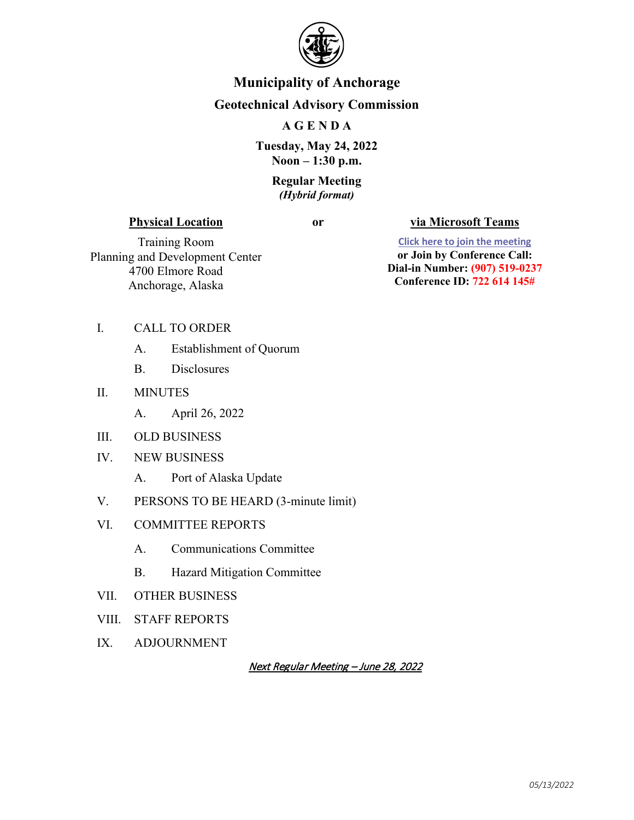

# **Municipality of Anchorage**

## **Geotechnical Advisory Commission**

### **A G E N D A**

**Tuesday, May 24, 2022 Noon – 1:30 p.m.**

#### **Regular Meeting**  *(Hybrid format)*

#### **Physical Location**

#### **or via Microsoft Teams**

Training Room Planning and Development Center 4700 Elmore Road Anchorage, Alaska

**[Click here to join the meeting](https://teams.microsoft.com/l/meetup-join/19%3ameeting_ZWZlN2U2NTctOTkyZi00YmZkLTk4NzItNTllMTMyMmYyMTQ3%40thread.v2/0?context=%7b%22Tid%22%3a%22127a78cb-19c5-46ca-b11f-87c33c49a907%22%2c%22Oid%22%3a%222b6df393-8e5d-48b2-8b5c-1008bd551dce%22%7d) or Join by Conference Call: Dial-in Number: (907) 519-0237 Conference ID: 722 614 145#**

#### I. CALL TO ORDER

- A. Establishment of Quorum
- B. Disclosures
- II. MINUTES
	- A. April 26, 2022
- III. OLD BUSINESS
- IV. NEW BUSINESS
	- A. Port of Alaska Update
- V. PERSONS TO BE HEARD (3-minute limit)
- VI. COMMITTEE REPORTS
	- A. Communications Committee
	- B. Hazard Mitigation Committee
- VII. OTHER BUSINESS
- VIII. STAFF REPORTS
- IX. ADJOURNMENT

Next Regular Meeting – June 28, 2022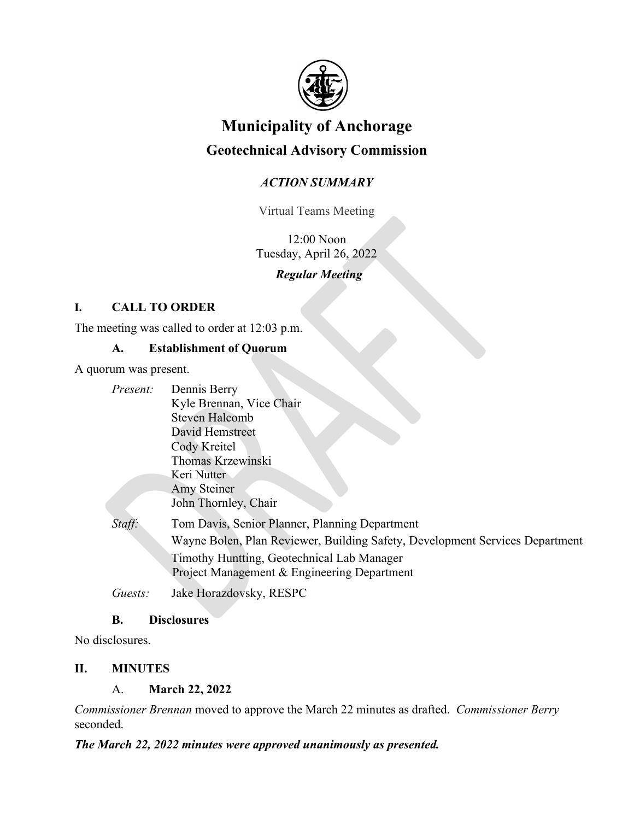

# **Municipality of Anchorage Geotechnical Advisory Commission**

# *ACTION SUMMARY*

Virtual Teams Meeting

12:00 Noon Tuesday, April 26, 2022

# *Regular Meeting*

# **I. CALL TO ORDER**

The meeting was called to order at 12:03 p.m.

## **A. Establishment of Quorum**

A quorum was present.

| Present: | Dennis Berry                                                                 |
|----------|------------------------------------------------------------------------------|
|          | Kyle Brennan, Vice Chair<br><b>Steven Halcomb</b>                            |
|          |                                                                              |
|          | David Hemstreet                                                              |
|          | Cody Kreitel                                                                 |
|          | Thomas Krzewinski                                                            |
|          | Keri Nutter                                                                  |
|          | Amy Steiner                                                                  |
|          | John Thornley, Chair                                                         |
| Staff:   | Tom Davis, Senior Planner, Planning Department                               |
|          | Wayne Bolen, Plan Reviewer, Building Safety, Development Services Department |
|          | Timothy Huntting, Geotechnical Lab Manager                                   |
|          | Project Management & Engineering Department                                  |
| Guests:  | Jake Horazdovsky, RESPC                                                      |

### **B. Disclosures**

No disclosures.

## **II. MINUTES**

A. **March 22, 2022**

*Commissioner Brennan* moved to approve the March 22 minutes as drafted. *Commissioner Berry* seconded.

### *The March 22, 2022 minutes were approved unanimously as presented.*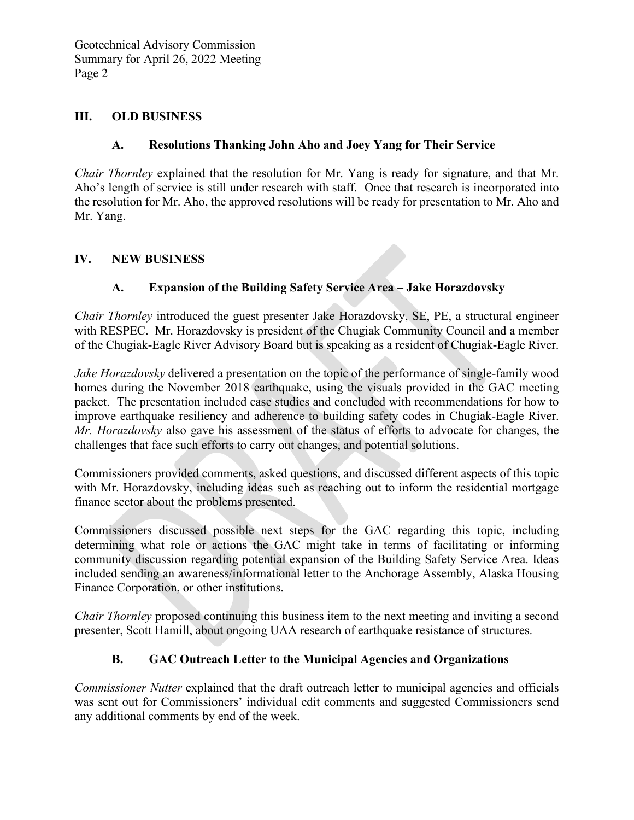#### **III. OLD BUSINESS**

### **A. Resolutions Thanking John Aho and Joey Yang for Their Service**

*Chair Thornley* explained that the resolution for Mr. Yang is ready for signature, and that Mr. Aho's length of service is still under research with staff. Once that research is incorporated into the resolution for Mr. Aho, the approved resolutions will be ready for presentation to Mr. Aho and Mr. Yang.

### **IV. NEW BUSINESS**

## **A. Expansion of the Building Safety Service Area – Jake Horazdovsky**

*Chair Thornley* introduced the guest presenter Jake Horazdovsky, SE, PE, a structural engineer with RESPEC. Mr. Horazdovsky is president of the Chugiak Community Council and a member of the Chugiak-Eagle River Advisory Board but is speaking as a resident of Chugiak-Eagle River.

*Jake Horazdovsky* delivered a presentation on the topic of the performance of single-family wood homes during the November 2018 earthquake, using the visuals provided in the GAC meeting packet. The presentation included case studies and concluded with recommendations for how to improve earthquake resiliency and adherence to building safety codes in Chugiak-Eagle River. *Mr. Horazdovsky* also gave his assessment of the status of efforts to advocate for changes, the challenges that face such efforts to carry out changes, and potential solutions.

Commissioners provided comments, asked questions, and discussed different aspects of this topic with Mr. Horazdovsky, including ideas such as reaching out to inform the residential mortgage finance sector about the problems presented.

Commissioners discussed possible next steps for the GAC regarding this topic, including determining what role or actions the GAC might take in terms of facilitating or informing community discussion regarding potential expansion of the Building Safety Service Area. Ideas included sending an awareness/informational letter to the Anchorage Assembly, Alaska Housing Finance Corporation, or other institutions.

*Chair Thornley* proposed continuing this business item to the next meeting and inviting a second presenter, Scott Hamill, about ongoing UAA research of earthquake resistance of structures.

### **B. GAC Outreach Letter to the Municipal Agencies and Organizations**

*Commissioner Nutter* explained that the draft outreach letter to municipal agencies and officials was sent out for Commissioners' individual edit comments and suggested Commissioners send any additional comments by end of the week.